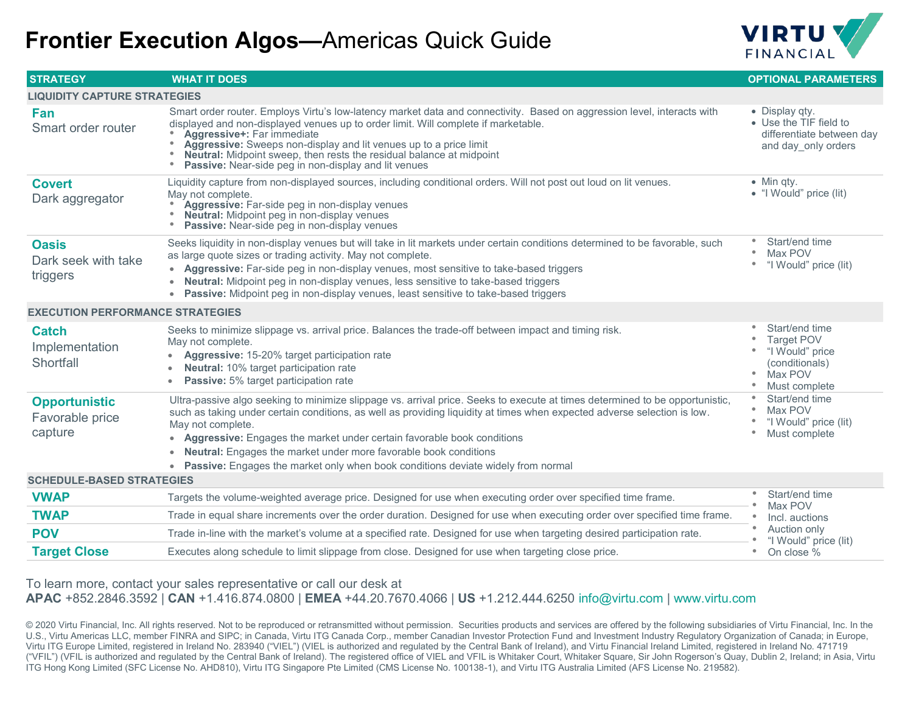## **Frontier Execution Algos—**Americas Quick Guide



| <b>STRATEGY</b>                                    | <b>WHAT IT DOES</b>                                                                                                                                                                                                                                                                                                                                                                                                                                                                                                                     | <b>OPTIONAL PARAMETERS</b>                                                                                                      |  |  |
|----------------------------------------------------|-----------------------------------------------------------------------------------------------------------------------------------------------------------------------------------------------------------------------------------------------------------------------------------------------------------------------------------------------------------------------------------------------------------------------------------------------------------------------------------------------------------------------------------------|---------------------------------------------------------------------------------------------------------------------------------|--|--|
| <b>LIQUIDITY CAPTURE STRATEGIES</b>                |                                                                                                                                                                                                                                                                                                                                                                                                                                                                                                                                         |                                                                                                                                 |  |  |
| Fan<br>Smart order router                          | Smart order router. Employs Virtu's low-latency market data and connectivity. Based on aggression level, interacts with<br>displayed and non-displayed venues up to order limit. Will complete if marketable.<br>Aggressive+: Far immediate<br>Aggressive: Sweeps non-display and lit venues up to a price limit<br>۰<br>Neutral: Midpoint sweep, then rests the residual balance at midpoint<br>Passive: Near-side peg in non-display and lit venues                                                                                   | • Display qty.<br>• Use the TIF field to<br>differentiate between day<br>and day only orders                                    |  |  |
| <b>Covert</b><br>Dark aggregator                   | Liquidity capture from non-displayed sources, including conditional orders. Will not post out loud on lit venues.<br>May not complete.<br>Aggressive: Far-side peg in non-display venues<br><b>Neutral:</b> Midpoint peg in non-display venues<br>۰<br>Passive: Near-side peg in non-display venues                                                                                                                                                                                                                                     | $\bullet$ Min qty.<br>• "I Would" price (lit)                                                                                   |  |  |
| <b>Oasis</b><br>Dark seek with take<br>triggers    | Seeks liquidity in non-display venues but will take in lit markets under certain conditions determined to be favorable, such<br>as large quote sizes or trading activity. May not complete.<br>• Aggressive: Far-side peg in non-display venues, most sensitive to take-based triggers<br>• Neutral: Midpoint peg in non-display venues, less sensitive to take-based triggers<br>• Passive: Midpoint peg in non-display venues, least sensitive to take-based triggers                                                                 | Start/end time<br>Max POV<br>"I Would" price (lit)<br>۰                                                                         |  |  |
| <b>EXECUTION PERFORMANCE STRATEGIES</b>            |                                                                                                                                                                                                                                                                                                                                                                                                                                                                                                                                         |                                                                                                                                 |  |  |
| <b>Catch</b><br>Implementation<br>Shortfall        | Seeks to minimize slippage vs. arrival price. Balances the trade-off between impact and timing risk.<br>May not complete.<br>Aggressive: 15-20% target participation rate<br>Neutral: 10% target participation rate<br><b>Passive:</b> 5% target participation rate<br>$\bullet$                                                                                                                                                                                                                                                        | Start/end time<br><b>Target POV</b><br>"I Would" price<br>(conditionals)<br>Max POV<br>$\qquad \qquad \bullet$<br>Must complete |  |  |
| <b>Opportunistic</b><br>Favorable price<br>capture | Ultra-passive algo seeking to minimize slippage vs. arrival price. Seeks to execute at times determined to be opportunistic,<br>such as taking under certain conditions, as well as providing liquidity at times when expected adverse selection is low.<br>May not complete.<br>• Aggressive: Engages the market under certain favorable book conditions<br><b>Neutral:</b> Engages the market under more favorable book conditions<br>$\bullet$<br>• Passive: Engages the market only when book conditions deviate widely from normal | Start/end time<br>Max POV<br>"I Would" price (lit)<br>$\bullet$<br>Must complete                                                |  |  |
| <b>SCHEDULE-BASED STRATEGIES</b>                   |                                                                                                                                                                                                                                                                                                                                                                                                                                                                                                                                         |                                                                                                                                 |  |  |
| <b>VWAP</b>                                        | Targets the volume-weighted average price. Designed for use when executing order over specified time frame.                                                                                                                                                                                                                                                                                                                                                                                                                             | Start/end time<br>Max POV                                                                                                       |  |  |
| <b>TWAP</b>                                        | Trade in equal share increments over the order duration. Designed for use when executing order over specified time frame.                                                                                                                                                                                                                                                                                                                                                                                                               | Incl. auctions                                                                                                                  |  |  |
| <b>POV</b>                                         | Trade in-line with the market's volume at a specified rate. Designed for use when targeting desired participation rate.                                                                                                                                                                                                                                                                                                                                                                                                                 | Auction only<br>"I Would" price (lit)                                                                                           |  |  |
| <b>Target Close</b>                                | Executes along schedule to limit slippage from close. Designed for use when targeting close price.                                                                                                                                                                                                                                                                                                                                                                                                                                      | On close %<br>$\bullet$                                                                                                         |  |  |

To learn more, contact your sales representative or call our desk at **APAC** +852.2846.3592 | **CAN** +1.416.874.0800 | **EMEA** +44.20.7670.4066 | **US** +1.212.444.6250 info@virtu.com | www.virtu.com

© 2020 Virtu Financial, Inc. All rights reserved. Not to be reproduced or retransmitted without permission. Securities products and services are offered by the following subsidiaries of Virtu Financial, Inc. In the U.S., Virtu Americas LLC, member FINRA and SIPC; in Canada, Virtu ITG Canada Corp., member Canadian Investor Protection Fund and Investment Industry Regulatory Organization of Canada; in Europe, Virtu ITG Europe Limited, registered in Ireland No. 283940 ("VIEL") (VIEL is authorized and regulated by the Central Bank of Ireland), and Virtu Financial Ireland Limited, registered in Ireland No. 471719 ("VFIL") (VFIL is authorized and regulated by the Central Bank of Ireland). The registered office of VIEL and VFIL is Whitaker Court, Whitaker Square, Sir John Rogerson's Quay, Dublin 2, Ireland; in Asia, Virtu ITG Hong Kong Limited (SFC License No. AHD810), Virtu ITG Singapore Pte Limited (CMS License No. 100138-1), and Virtu ITG Australia Limited (AFS License No. 219582).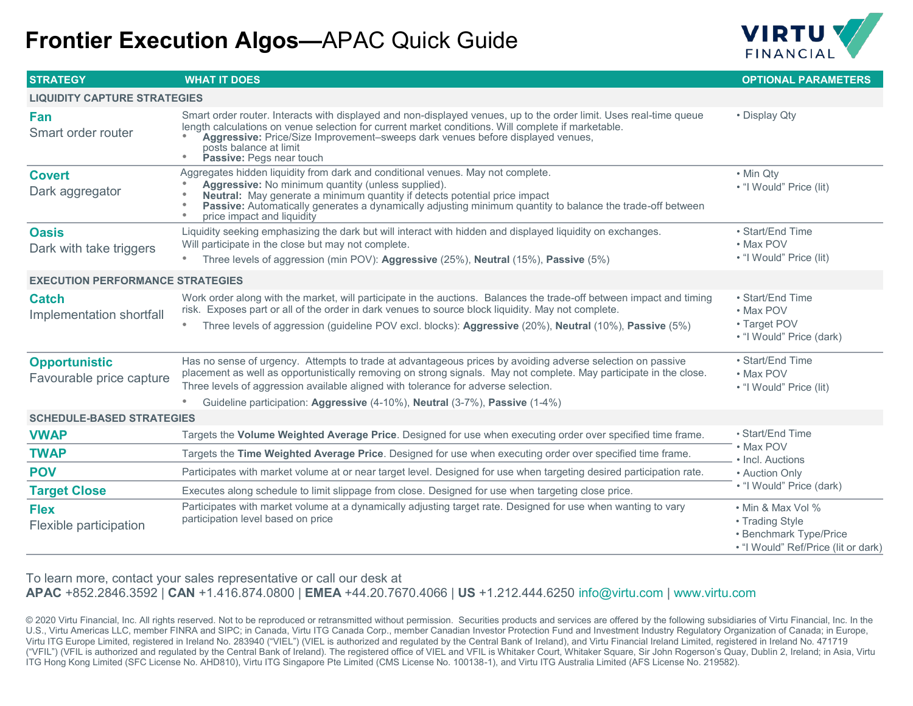## **Frontier Execution Algos—**APAC Quick Guide



| <b>STRATEGY</b>                                  | <b>WHAT IT DOES</b>                                                                                                                                                                                                                                                                                                                                                                                        | <b>OPTIONAL PARAMETERS</b>                                                                            |
|--------------------------------------------------|------------------------------------------------------------------------------------------------------------------------------------------------------------------------------------------------------------------------------------------------------------------------------------------------------------------------------------------------------------------------------------------------------------|-------------------------------------------------------------------------------------------------------|
| <b>LIQUIDITY CAPTURE STRATEGIES</b>              |                                                                                                                                                                                                                                                                                                                                                                                                            |                                                                                                       |
| Fan<br>Smart order router                        | Smart order router. Interacts with displayed and non-displayed venues, up to the order limit. Uses real-time queue<br>length calculations on venue selection for current market conditions. Will complete if marketable.<br>Aggressive: Price/Size Improvement-sweeps dark venues before displayed venues,<br>posts balance at limit<br>$\bullet$<br>Passive: Pegs near touch                              | • Display Qty                                                                                         |
| <b>Covert</b><br>Dark aggregator                 | Aggregates hidden liquidity from dark and conditional venues. May not complete.<br><b>Aggressive:</b> No minimum quantity (unless supplied).<br>Neutral: May generate a minimum quantity if detects potential price impact<br>Passive: Automatically generates a dynamically adjusting minimum quantity to balance the trade-off between<br>price impact and liquidity<br>$\bullet$                        | • Min Qty<br>• "I Would" Price (lit)                                                                  |
| <b>Oasis</b><br>Dark with take triggers          | Liquidity seeking emphasizing the dark but will interact with hidden and displayed liquidity on exchanges.<br>Will participate in the close but may not complete.<br>Three levels of aggression (min POV): Aggressive (25%), Neutral (15%), Passive (5%)<br>$\bullet$                                                                                                                                      | • Start/End Time<br>• Max POV<br>• "I Would" Price (lit)                                              |
| <b>EXECUTION PERFORMANCE STRATEGIES</b>          |                                                                                                                                                                                                                                                                                                                                                                                                            |                                                                                                       |
| <b>Catch</b><br>Implementation shortfall         | Work order along with the market, will participate in the auctions. Balances the trade-off between impact and timing<br>risk. Exposes part or all of the order in dark venues to source block liquidity. May not complete.<br>Three levels of aggression (guideline POV excl. blocks): Aggressive (20%), Neutral (10%), Passive (5%)<br>۰                                                                  | • Start/End Time<br>• Max POV<br>• Target POV<br>• "I Would" Price (dark)                             |
| <b>Opportunistic</b><br>Favourable price capture | Has no sense of urgency. Attempts to trade at advantageous prices by avoiding adverse selection on passive<br>placement as well as opportunistically removing on strong signals. May not complete. May participate in the close.<br>Three levels of aggression available aligned with tolerance for adverse selection.<br>Guideline participation: Aggressive (4-10%), Neutral (3-7%), Passive (1-4%)<br>۰ | • Start/End Time<br>• Max POV<br>• "I Would" Price (lit)                                              |
| <b>SCHEDULE-BASED STRATEGIES</b>                 |                                                                                                                                                                                                                                                                                                                                                                                                            |                                                                                                       |
| <b>VWAP</b>                                      | Targets the Volume Weighted Average Price. Designed for use when executing order over specified time frame.                                                                                                                                                                                                                                                                                                | · Start/End Time<br>• Max POV<br>• Incl. Auctions<br>• Auction Only<br>• "I Would" Price (dark)       |
| <b>TWAP</b>                                      | Targets the Time Weighted Average Price. Designed for use when executing order over specified time frame.                                                                                                                                                                                                                                                                                                  |                                                                                                       |
| <b>POV</b>                                       | Participates with market volume at or near target level. Designed for use when targeting desired participation rate.                                                                                                                                                                                                                                                                                       |                                                                                                       |
| <b>Target Close</b>                              | Executes along schedule to limit slippage from close. Designed for use when targeting close price.                                                                                                                                                                                                                                                                                                         |                                                                                                       |
| <b>Flex</b><br>Flexible participation            | Participates with market volume at a dynamically adjusting target rate. Designed for use when wanting to vary<br>participation level based on price                                                                                                                                                                                                                                                        | • Min & Max Vol %<br>• Trading Style<br>• Benchmark Type/Price<br>• "I Would" Ref/Price (lit or dark) |

To learn more, contact your sales representative or call our desk at **APAC** +852.2846.3592 | **CAN** +1.416.874.0800 | **EMEA** +44.20.7670.4066 | **US** +1.212.444.6250 info@virtu.com | www.virtu.com

© 2020 Virtu Financial, Inc. All rights reserved. Not to be reproduced or retransmitted without permission. Securities products and services are offered by the following subsidiaries of Virtu Financial, Inc. In the U.S., Virtu Americas LLC, member FINRA and SIPC; in Canada, Virtu ITG Canada Corp., member Canadian Investor Protection Fund and Investment Industry Regulatory Organization of Canada; in Europe, Virtu ITG Europe Limited, registered in Ireland No. 283940 ("VIEL") (VIEL is authorized and regulated by the Central Bank of Ireland), and Virtu Financial Ireland Limited, registered in Ireland No. 471719 ("VFIL") (VFIL is authorized and regulated by the Central Bank of Ireland). The registered office of VIEL and VFIL is Whitaker Court, Whitaker Square, Sir John Rogerson's Quay, Dublin 2, Ireland; in Asia, Virtu ITG Hong Kong Limited (SFC License No. AHD810), Virtu ITG Singapore Pte Limited (CMS License No. 100138-1), and Virtu ITG Australia Limited (AFS License No. 219582).